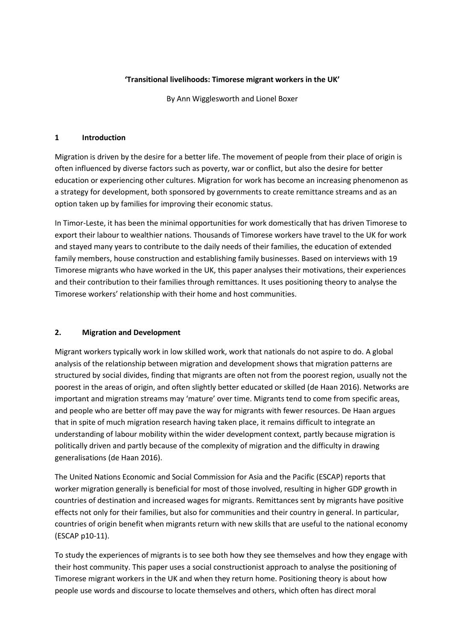#### **'Transitional livelihoods: Timorese migrant workers in the UK'**

By Ann Wigglesworth and Lionel Boxer

#### **1 Introduction**

Migration is driven by the desire for a better life. The movement of people from their place of origin is often influenced by diverse factors such as poverty, war or conflict, but also the desire for better education or experiencing other cultures. Migration for work has become an increasing phenomenon as a strategy for development, both sponsored by governments to create remittance streams and as an option taken up by families for improving their economic status.

In Timor-Leste, it has been the minimal opportunities for work domestically that has driven Timorese to export their labour to wealthier nations. Thousands of Timorese workers have travel to the UK for work and stayed many years to contribute to the daily needs of their families, the education of extended family members, house construction and establishing family businesses. Based on interviews with 19 Timorese migrants who have worked in the UK, this paper analyses their motivations, their experiences and their contribution to their families through remittances. It uses positioning theory to analyse the Timorese workers' relationship with their home and host communities.

### **2. Migration and Development**

Migrant workers typically work in low skilled work, work that nationals do not aspire to do. A global analysis of the relationship between migration and development shows that migration patterns are structured by social divides, finding that migrants are often not from the poorest region, usually not the poorest in the areas of origin, and often slightly better educated or skilled (de Haan 2016). Networks are important and migration streams may 'mature' over time. Migrants tend to come from specific areas, and people who are better off may pave the way for migrants with fewer resources. De Haan argues that in spite of much migration research having taken place, it remains difficult to integrate an understanding of labour mobility within the wider development context, partly because migration is politically driven and partly because of the complexity of migration and the difficulty in drawing generalisations (de Haan 2016).

The United Nations Economic and Social Commission for Asia and the Pacific (ESCAP) reports that worker migration generally is beneficial for most of those involved, resulting in higher GDP growth in countries of destination and increased wages for migrants. Remittances sent by migrants have positive effects not only for their families, but also for communities and their country in general. In particular, countries of origin benefit when migrants return with new skills that are useful to the national economy (ESCAP p10-11).

To study the experiences of migrants is to see both how they see themselves and how they engage with their host community. This paper uses a social constructionist approach to analyse the positioning of Timorese migrant workers in the UK and when they return home. Positioning theory is about how people use words and discourse to locate themselves and others, which often has direct moral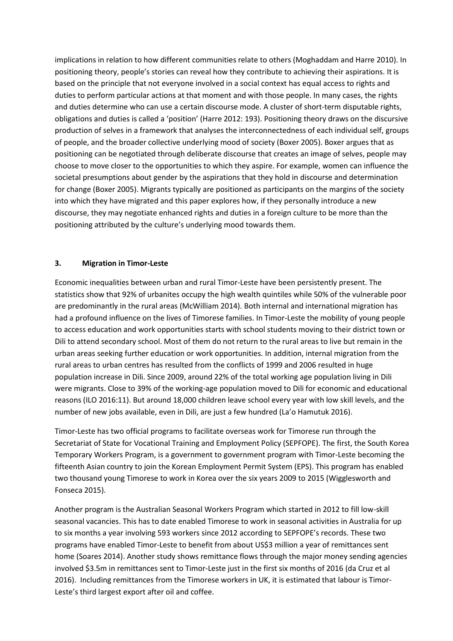implications in relation to how different communities relate to others (Moghaddam and Harre 2010). In positioning theory, people's stories can reveal how they contribute to achieving their aspirations. It is based on the principle that not everyone involved in a social context has equal access to rights and duties to perform particular actions at that moment and with those people. In many cases, the rights and duties determine who can use a certain discourse mode. A cluster of short-term disputable rights, obligations and duties is called a 'position' (Harre 2012: 193). Positioning theory draws on the discursive production of selves in a framework that analyses the interconnectedness of each individual self, groups of people, and the broader collective underlying mood of society (Boxer 2005). Boxer argues that as positioning can be negotiated through deliberate discourse that creates an image of selves, people may choose to move closer to the opportunities to which they aspire. For example, women can influence the societal presumptions about gender by the aspirations that they hold in discourse and determination for change (Boxer 2005). Migrants typically are positioned as participants on the margins of the society into which they have migrated and this paper explores how, if they personally introduce a new discourse, they may negotiate enhanced rights and duties in a foreign culture to be more than the positioning attributed by the culture's underlying mood towards them.

#### **3. Migration in Timor-Leste**

Economic inequalities between urban and rural Timor-Leste have been persistently present. The statistics show that 92% of urbanites occupy the high wealth quintiles while 50% of the vulnerable poor are predominantly in the rural areas (McWilliam 2014). Both internal and international migration has had a profound influence on the lives of Timorese families. In Timor-Leste the mobility of young people to access education and work opportunities starts with school students moving to their district town or Dili to attend secondary school. Most of them do not return to the rural areas to live but remain in the urban areas seeking further education or work opportunities. In addition, internal migration from the rural areas to urban centres has resulted from the conflicts of 1999 and 2006 resulted in huge population increase in Dili. Since 2009, around 22% of the total working age population living in Dili were migrants. Close to 39% of the working-age population moved to Dili for economic and educational reasons (ILO 2016:11). But around 18,000 children leave school every year with low skill levels, and the number of new jobs available, even in Dili, are just a few hundred (La'o Hamutuk 2016).

Timor-Leste has two official programs to facilitate overseas work for Timorese run through the Secretariat of State for Vocational Training and Employment Policy (SEPFOPE). The first, the South Korea Temporary Workers Program, is a government to government program with Timor-Leste becoming the fifteenth Asian country to join the Korean Employment Permit System (EPS). This program has enabled two thousand young Timorese to work in Korea over the six years 2009 to 2015 (Wigglesworth and Fonseca 2015).

Another program is the Australian Seasonal Workers Program which started in 2012 to fill low-skill seasonal vacancies. This has to date enabled Timorese to work in seasonal activities in Australia for up to six months a year involving 593 workers since 2012 according to SEPFOPE's records. These two programs have enabled Timor-Leste to benefit from about US\$3 million a year of remittances sent home (Soares 2014). Another study shows remittance flows through the major money sending agencies involved \$3.5m in remittances sent to Timor-Leste just in the first six months of 2016 (da Cruz et al 2016). Including remittances from the Timorese workers in UK, it is estimated that labour is Timor-Leste's third largest export after oil and coffee.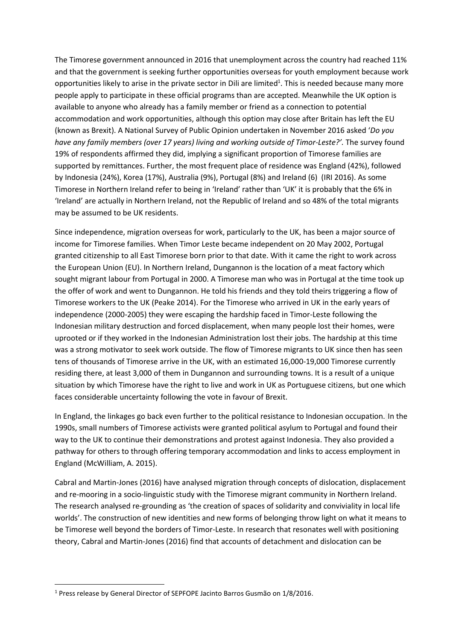The Timorese government announced in 2016 that unemployment across the country had reached 11% and that the government is seeking further opportunities overseas for youth employment because work opportunities likely to arise in the private sector in Dili are limited<sup>1</sup>. This is needed because many more people apply to participate in these official programs than are accepted. Meanwhile the UK option is available to anyone who already has a family member or friend as a connection to potential accommodation and work opportunities, although this option may close after Britain has left the EU (known as Brexit). A National Survey of Public Opinion undertaken in November 2016 asked '*Do you have any family members (over 17 years) living and working outside of Timor-Leste?'.* The survey found 19% of respondents affirmed they did, implying a significant proportion of Timorese families are supported by remittances. Further, the most frequent place of residence was England (42%), followed by Indonesia (24%), Korea (17%), Australia (9%), Portugal (8%) and Ireland (6) (IRI 2016). As some Timorese in Northern Ireland refer to being in 'Ireland' rather than 'UK' it is probably that the 6% in 'Ireland' are actually in Northern Ireland, not the Republic of Ireland and so 48% of the total migrants may be assumed to be UK residents.

Since independence, migration overseas for work, particularly to the UK, has been a major source of income for Timorese families. When Timor Leste became independent on 20 May 2002, Portugal granted citizenship to all East Timorese born prior to that date. With it came the right to work across the European Union (EU). In Northern Ireland, Dungannon is the location of a meat factory which sought migrant labour from Portugal in 2000. A Timorese man who was in Portugal at the time took up the offer of work and went to Dungannon. He told his friends and they told theirs triggering a flow of Timorese workers to the UK (Peake 2014). For the Timorese who arrived in UK in the early years of independence (2000-2005) they were escaping the hardship faced in Timor-Leste following the Indonesian military destruction and forced displacement, when many people lost their homes, were uprooted or if they worked in the Indonesian Administration lost their jobs. The hardship at this time was a strong motivator to seek work outside. The flow of Timorese migrants to UK since then has seen tens of thousands of Timorese arrive in the UK, with an estimated 16,000-19,000 Timorese currently residing there, at least 3,000 of them in Dungannon and surrounding towns. It is a result of a unique situation by which Timorese have the right to live and work in UK as Portuguese citizens, but one which faces considerable uncertainty following the vote in favour of Brexit.

In England, the linkages go back even further to the political resistance to Indonesian occupation. In the 1990s, small numbers of Timorese activists were granted political asylum to Portugal and found their way to the UK to continue their demonstrations and protest against Indonesia. They also provided a pathway for others to through offering temporary accommodation and links to access employment in England (McWilliam, A. 2015).

Cabral and Martin-Jones (2016) have analysed migration through concepts of dislocation, displacement and re-mooring in a socio-linguistic study with the Timorese migrant community in Northern Ireland. The research analysed re-grounding as 'the creation of spaces of solidarity and conviviality in local life worlds'. The construction of new identities and new forms of belonging throw light on what it means to be Timorese well beyond the borders of Timor-Leste. In research that resonates well with positioning theory, Cabral and Martin-Jones (2016) find that accounts of detachment and dislocation can be

<sup>&</sup>lt;sup>1</sup> Press release by General Director of SEPFOPE Jacinto Barros Gusmão on 1/8/2016.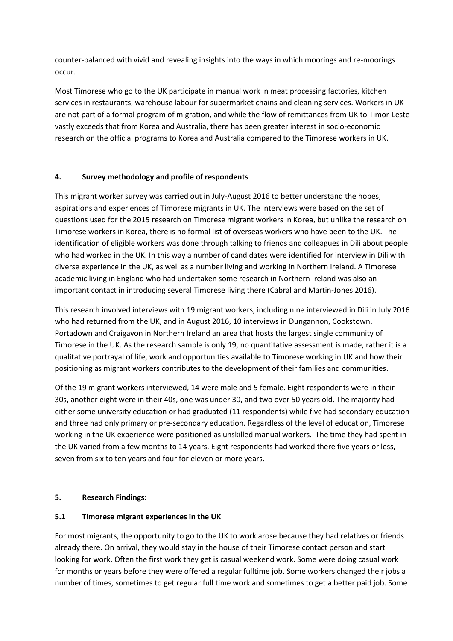counter-balanced with vivid and revealing insights into the ways in which moorings and re-moorings occur.

Most Timorese who go to the UK participate in manual work in meat processing factories, kitchen services in restaurants, warehouse labour for supermarket chains and cleaning services. Workers in UK are not part of a formal program of migration, and while the flow of remittances from UK to Timor-Leste vastly exceeds that from Korea and Australia, there has been greater interest in socio-economic research on the official programs to Korea and Australia compared to the Timorese workers in UK.

## **4. Survey methodology and profile of respondents**

This migrant worker survey was carried out in July-August 2016 to better understand the hopes, aspirations and experiences of Timorese migrants in UK. The interviews were based on the set of questions used for the 2015 research on Timorese migrant workers in Korea, but unlike the research on Timorese workers in Korea, there is no formal list of overseas workers who have been to the UK. The identification of eligible workers was done through talking to friends and colleagues in Dili about people who had worked in the UK. In this way a number of candidates were identified for interview in Dili with diverse experience in the UK, as well as a number living and working in Northern Ireland. A Timorese academic living in England who had undertaken some research in Northern Ireland was also an important contact in introducing several Timorese living there (Cabral and Martin-Jones 2016).

This research involved interviews with 19 migrant workers, including nine interviewed in Dili in July 2016 who had returned from the UK, and in August 2016, 10 interviews in Dungannon, Cookstown, Portadown and Craigavon in Northern Ireland an area that hosts the largest single community of Timorese in the UK. As the research sample is only 19, no quantitative assessment is made, rather it is a qualitative portrayal of life, work and opportunities available to Timorese working in UK and how their positioning as migrant workers contributes to the development of their families and communities.

Of the 19 migrant workers interviewed, 14 were male and 5 female. Eight respondents were in their 30s, another eight were in their 40s, one was under 30, and two over 50 years old. The majority had either some university education or had graduated (11 respondents) while five had secondary education and three had only primary or pre-secondary education. Regardless of the level of education, Timorese working in the UK experience were positioned as unskilled manual workers. The time they had spent in the UK varied from a few months to 14 years. Eight respondents had worked there five years or less, seven from six to ten years and four for eleven or more years.

## **5. Research Findings:**

## **5.1 Timorese migrant experiences in the UK**

For most migrants, the opportunity to go to the UK to work arose because they had relatives or friends already there. On arrival, they would stay in the house of their Timorese contact person and start looking for work. Often the first work they get is casual weekend work. Some were doing casual work for months or years before they were offered a regular fulltime job. Some workers changed their jobs a number of times, sometimes to get regular full time work and sometimes to get a better paid job. Some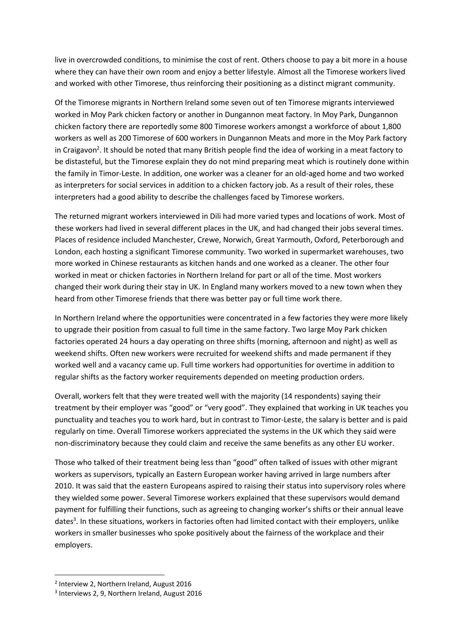live in overcrowded conditions, to minimise the cost of rent. Others choose to pay a bit more in a house where they can have their own room and enjoy a better lifestyle. Almost all the Timorese workers lived and worked with other Timorese, thus reinforcing their positioning as a distinct migrant community.

Of the Timorese migrants in Northern Ireland some seven out of ten Timorese migrants interviewed worked in Moy Park chicken factory or another in Dungannon meat factory. In Moy Park, Dungannon chicken factory there are reportedly some 800 Timorese workers amongst a workforce of about 1,800 workers as well as 200 Timorese of 600 workers in Dungannon Meats and more in the Moy Park factory in Craigavon<sup>2</sup>. It should be noted that many British people find the idea of working in a meat factory to be distasteful, but the Timorese explain they do not mind preparing meat which is routinely done within the family in Timor-Leste. In addition, one worker was a cleaner for an old-aged home and two worked as interpreters for social services in addition to a chicken factory job. As a result of their roles, these interpreters had a good ability to describe the challenges faced by Timorese workers.

The returned migrant workers interviewed in Dili had more varied types and locations of work. Most of these workers had lived in several different places in the UK, and had changed their jobs several times. Places of residence included Manchester, Crewe, Norwich, Great Yarmouth, Oxford, Peterborough and London, each hosting a significant Timorese community. Two worked in supermarket warehouses, two more worked in Chinese restaurants as kitchen hands and one worked as a cleaner. The other four worked in meat or chicken factories in Northern Ireland for part or all of the time. Most workers changed their work during their stay in UK. In England many workers moved to a new town when they heard from other Timorese friends that there was better pay or full time work there.

In Northern Ireland where the opportunities were concentrated in a few factories they were more likely to upgrade their position from casual to full time in the same factory. Two large Moy Park chicken factories operated 24 hours a day operating on three shifts (morning, afternoon and night) as well as weekend shifts. Often new workers were recruited for weekend shifts and made permanent if they worked well and a vacancy came up. Full time workers had opportunities for overtime in addition to regular shifts as the factory worker requirements depended on meeting production orders.

Overall, workers felt that they were treated well with the majority (14 respondents) saying their treatment by their employer was "good" or "very good". They explained that working in UK teaches you punctuality and teaches you to work hard, but in contrast to Timor-Leste, the salary is better and is paid regularly on time. Overall Timorese workers appreciated the systems in the UK which they said were non-discriminatory because they could claim and receive the same benefits as any other EU worker.

Those who talked of their treatment being less than "good" often talked of issues with other migrant workers as supervisors, typically an Eastern European worker having arrived in large numbers after 2010. It was said that the eastern Europeans aspired to raising their status into supervisory roles where they wielded some power. Several Timorese workers explained that these supervisors would demand payment for fulfilling their functions, such as agreeing to changing worker's shifts or their annual leave dates<sup>3</sup>. In these situations, workers in factories often had limited contact with their employers, unlike workers in smaller businesses who spoke positively about the fairness of the workplace and their employers.

<sup>2</sup> Interview 2, Northern Ireland, August 2016

<sup>3</sup> Interviews 2, 9, Northern Ireland, August 2016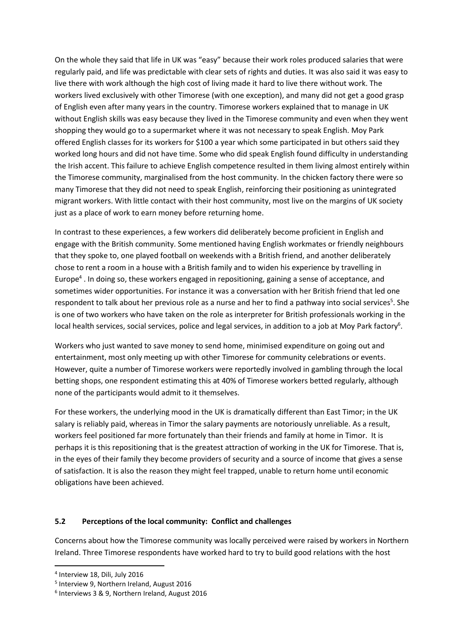On the whole they said that life in UK was "easy" because their work roles produced salaries that were regularly paid, and life was predictable with clear sets of rights and duties. It was also said it was easy to live there with work although the high cost of living made it hard to live there without work. The workers lived exclusively with other Timorese (with one exception), and many did not get a good grasp of English even after many years in the country. Timorese workers explained that to manage in UK without English skills was easy because they lived in the Timorese community and even when they went shopping they would go to a supermarket where it was not necessary to speak English. Moy Park offered English classes for its workers for \$100 a year which some participated in but others said they worked long hours and did not have time. Some who did speak English found difficulty in understanding the Irish accent. This failure to achieve English competence resulted in them living almost entirely within the Timorese community, marginalised from the host community. In the chicken factory there were so many Timorese that they did not need to speak English, reinforcing their positioning as unintegrated migrant workers. With little contact with their host community, most live on the margins of UK society just as a place of work to earn money before returning home.

In contrast to these experiences, a few workers did deliberately become proficient in English and engage with the British community. Some mentioned having English workmates or friendly neighbours that they spoke to, one played football on weekends with a British friend, and another deliberately chose to rent a room in a house with a British family and to widen his experience by travelling in Europe<sup>4</sup>. In doing so, these workers engaged in repositioning, gaining a sense of acceptance, and sometimes wider opportunities. For instance it was a conversation with her British friend that led one respondent to talk about her previous role as a nurse and her to find a pathway into social services<sup>5</sup>. She is one of two workers who have taken on the role as interpreter for British professionals working in the local health services, social services, police and legal services, in addition to a job at Moy Park factory<sup>6</sup>.

Workers who just wanted to save money to send home, minimised expenditure on going out and entertainment, most only meeting up with other Timorese for community celebrations or events. However, quite a number of Timorese workers were reportedly involved in gambling through the local betting shops, one respondent estimating this at 40% of Timorese workers betted regularly, although none of the participants would admit to it themselves.

For these workers, the underlying mood in the UK is dramatically different than East Timor; in the UK salary is reliably paid, whereas in Timor the salary payments are notoriously unreliable. As a result, workers feel positioned far more fortunately than their friends and family at home in Timor. It is perhaps it is this repositioning that is the greatest attraction of working in the UK for Timorese. That is, in the eyes of their family they become providers of security and a source of income that gives a sense of satisfaction. It is also the reason they might feel trapped, unable to return home until economic obligations have been achieved.

### **5.2 Perceptions of the local community: Conflict and challenges**

Concerns about how the Timorese community was locally perceived were raised by workers in Northern Ireland. Three Timorese respondents have worked hard to try to build good relations with the host

1

<sup>4</sup> Interview 18, Dili, July 2016

<sup>5</sup> Interview 9, Northern Ireland, August 2016

<sup>6</sup> Interviews 3 & 9, Northern Ireland, August 2016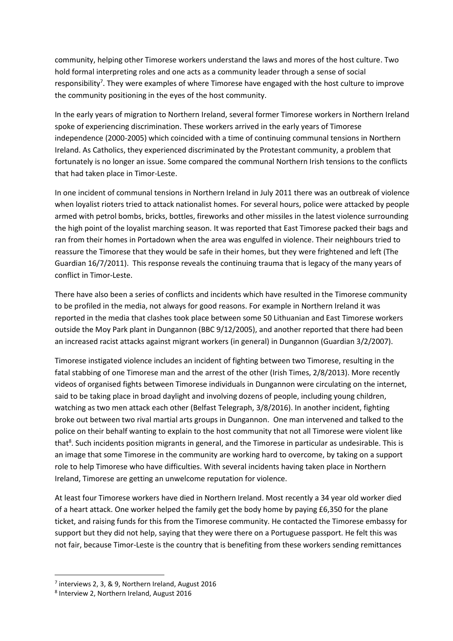community, helping other Timorese workers understand the laws and mores of the host culture. Two hold formal interpreting roles and one acts as a community leader through a sense of social responsibility<sup>7</sup>. They were examples of where Timorese have engaged with the host culture to improve the community positioning in the eyes of the host community.

In the early years of migration to Northern Ireland, several former Timorese workers in Northern Ireland spoke of experiencing discrimination. These workers arrived in the early years of Timorese independence (2000-2005) which coincided with a time of continuing communal tensions in Northern Ireland. As Catholics, they experienced discriminated by the Protestant community, a problem that fortunately is no longer an issue. Some compared the communal Northern Irish tensions to the conflicts that had taken place in Timor-Leste.

In one incident of communal tensions in Northern Ireland in July 2011 there was an outbreak of violence when loyalist rioters tried to attack nationalist homes. For several hours, police were attacked by people armed with petrol bombs, bricks, bottles, fireworks and other missiles in the latest violence surrounding the high point of the loyalist marching season. It was reported that East Timorese packed their bags and ran from their homes in Portadown when the area was engulfed in violence. Their neighbours tried to reassure the Timorese that they would be safe in their homes, but they were frightened and left (The Guardian 16/7/2011). This response reveals the continuing trauma that is legacy of the many years of conflict in Timor-Leste.

There have also been a series of conflicts and incidents which have resulted in the Timorese community to be profiled in the media, not always for good reasons. For example in Northern Ireland it was reported in the media that clashes took place between some 50 Lithuanian and East Timorese workers outside the Moy Park plant in Dungannon (BBC 9/12/2005), and another reported that there had been an increased racist attacks against migrant workers (in general) in Dungannon (Guardian 3/2/2007).

Timorese instigated violence includes an incident of fighting between two Timorese, resulting in the fatal stabbing of one Timorese man and the arrest of the other (Irish Times, 2/8/2013). More recently videos of organised fights between Timorese individuals in Dungannon were circulating on the internet, said to be taking place in broad daylight and involving dozens of people, including young children, watching as two men attack each other (Belfast Telegraph, 3/8/2016). In another incident, fighting broke out between two rival martial arts groups in Dungannon. One man intervened and talked to the police on their behalf wanting to explain to the host community that not all Timorese were violent like that<sup>8</sup>. Such incidents position migrants in general, and the Timorese in particular as undesirable. This is an image that some Timorese in the community are working hard to overcome, by taking on a support role to help Timorese who have difficulties. With several incidents having taken place in Northern Ireland, Timorese are getting an unwelcome reputation for violence.

At least four Timorese workers have died in Northern Ireland. Most recently a 34 year old worker died of a heart attack. One worker helped the family get the body home by paying £6,350 for the plane ticket, and raising funds for this from the Timorese community. He contacted the Timorese embassy for support but they did not help, saying that they were there on a Portuguese passport. He felt this was not fair, because Timor-Leste is the country that is benefiting from these workers sending remittances

<sup>&</sup>lt;sup>7</sup> interviews 2, 3, & 9, Northern Ireland, August 2016

<sup>8</sup> Interview 2, Northern Ireland, August 2016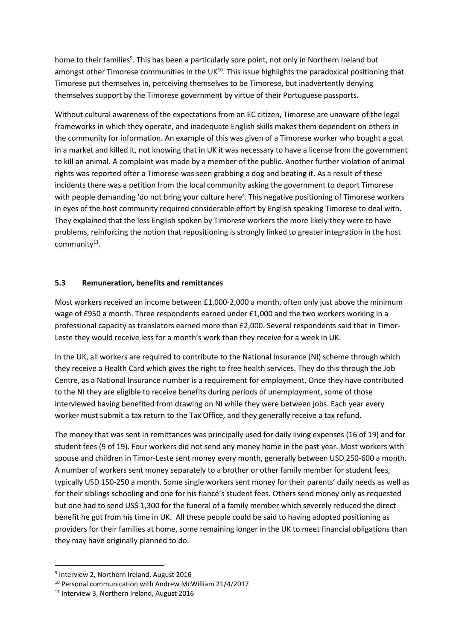home to their families<sup>9</sup>. This has been a particularly sore point, not only in Northern Ireland but amongst other Timorese communities in the UK<sup>10</sup>. This issue highlights the paradoxical positioning that Timorese put themselves in, perceiving themselves to be Timorese, but inadvertently denying themselves support by the Timorese government by virtue of their Portuguese passports.

Without cultural awareness of the expectations from an EC citizen, Timorese are unaware of the legal frameworks in which they operate, and inadequate English skills makes them dependent on others in the community for information. An example of this was given of a Timorese worker who bought a goat in a market and killed it, not knowing that in UK it was necessary to have a license from the government to kill an animal. A complaint was made by a member of the public. Another further violation of animal rights was reported after a Timorese was seen grabbing a dog and beating it. As a result of these incidents there was a petition from the local community asking the government to deport Timorese with people demanding 'do not bring your culture here'. This negative positioning of Timorese workers in eyes of the host community required considerable effort by English speaking Timorese to deal with. They explained that the less English spoken by Timorese workers the more likely they were to have problems, reinforcing the notion that repositioning is strongly linked to greater integration in the host community<sup>11</sup>.

#### **5.3 Remuneration, benefits and remittances**

Most workers received an income between £1,000-2,000 a month, often only just above the minimum wage of £950 a month. Three respondents earned under £1,000 and the two workers working in a professional capacity as translators earned more than £2,000. Several respondents said that in Timor-Leste they would receive less for a month's work than they receive for a week in UK.

In the UK, all workers are required to contribute to the National Insurance (NI) scheme through which they receive a Health Card which gives the right to free health services. They do this through the Job Centre, as a National Insurance number is a requirement for employment. Once they have contributed to the NI they are eligible to receive benefits during periods of unemployment, some of those interviewed having benefited from drawing on NI while they were between jobs. Each year every worker must submit a tax return to the Tax Office, and they generally receive a tax refund.

The money that was sent in remittances was principally used for daily living expenses (16 of 19) and for student fees (9 of 19). Four workers did not send any money home in the past year. Most workers with spouse and children in Timor-Leste sent money every month, generally between USD 250-600 a month. A number of workers sent money separately to a brother or other family member for student fees, typically USD 150-250 a month. Some single workers sent money for their parents' daily needs as well as for their siblings schooling and one for his fiancé's student fees. Others send money only as requested but one had to send US\$ 1,300 for the funeral of a family member which severely reduced the direct benefit he got from his time in UK. All these people could be said to having adopted positioning as providers for their families at home, some remaining longer in the UK to meet financial obligations than they may have originally planned to do.

1

<sup>9</sup> Interview 2, Northern Ireland, August 2016

<sup>10</sup> Personal communication with Andrew McWilliam 21/4/2017

<sup>11</sup> Interview 3, Northern Ireland, August 2016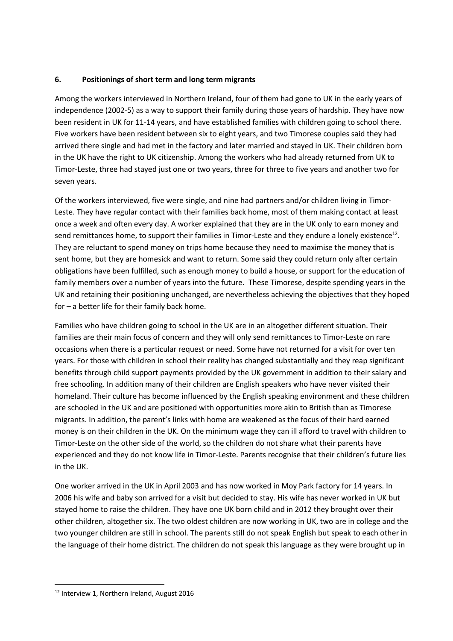### **6. Positionings of short term and long term migrants**

Among the workers interviewed in Northern Ireland, four of them had gone to UK in the early years of independence (2002-5) as a way to support their family during those years of hardship. They have now been resident in UK for 11-14 years, and have established families with children going to school there. Five workers have been resident between six to eight years, and two Timorese couples said they had arrived there single and had met in the factory and later married and stayed in UK. Their children born in the UK have the right to UK citizenship. Among the workers who had already returned from UK to Timor-Leste, three had stayed just one or two years, three for three to five years and another two for seven years.

Of the workers interviewed, five were single, and nine had partners and/or children living in Timor-Leste. They have regular contact with their families back home, most of them making contact at least once a week and often every day. A worker explained that they are in the UK only to earn money and send remittances home, to support their families in Timor-Leste and they endure a lonely existence<sup>12</sup>. They are reluctant to spend money on trips home because they need to maximise the money that is sent home, but they are homesick and want to return. Some said they could return only after certain obligations have been fulfilled, such as enough money to build a house, or support for the education of family members over a number of years into the future. These Timorese, despite spending years in the UK and retaining their positioning unchanged, are nevertheless achieving the objectives that they hoped for – a better life for their family back home.

Families who have children going to school in the UK are in an altogether different situation. Their families are their main focus of concern and they will only send remittances to Timor-Leste on rare occasions when there is a particular request or need. Some have not returned for a visit for over ten years. For those with children in school their reality has changed substantially and they reap significant benefits through child support payments provided by the UK government in addition to their salary and free schooling. In addition many of their children are English speakers who have never visited their homeland. Their culture has become influenced by the English speaking environment and these children are schooled in the UK and are positioned with opportunities more akin to British than as Timorese migrants. In addition, the parent's links with home are weakened as the focus of their hard earned money is on their children in the UK. On the minimum wage they can ill afford to travel with children to Timor-Leste on the other side of the world, so the children do not share what their parents have experienced and they do not know life in Timor-Leste. Parents recognise that their children's future lies in the UK.

One worker arrived in the UK in April 2003 and has now worked in Moy Park factory for 14 years. In 2006 his wife and baby son arrived for a visit but decided to stay. His wife has never worked in UK but stayed home to raise the children. They have one UK born child and in 2012 they brought over their other children, altogether six. The two oldest children are now working in UK, two are in college and the two younger children are still in school. The parents still do not speak English but speak to each other in the language of their home district. The children do not speak this language as they were brought up in

<sup>12</sup> Interview 1, Northern Ireland, August 2016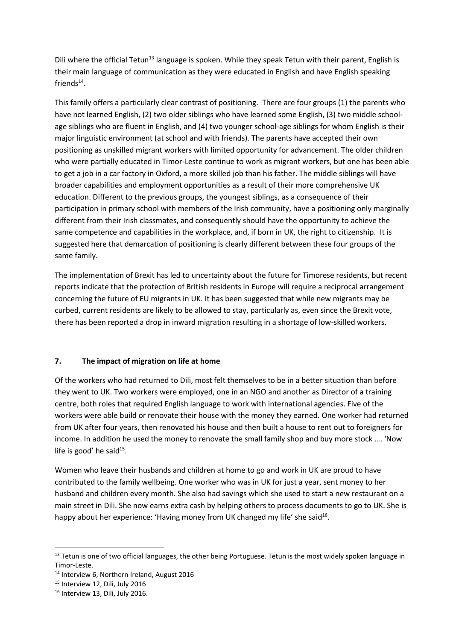Dili where the official Tetun<sup>13</sup> language is spoken. While they speak Tetun with their parent, English is their main language of communication as they were educated in English and have English speaking  $friends<sup>14</sup>$ .

This family offers a particularly clear contrast of positioning. There are four groups (1) the parents who have not learned English, (2) two older siblings who have learned some English, (3) two middle schoolage siblings who are fluent in English, and (4) two younger school-age siblings for whom English is their major linguistic environment (at school and with friends). The parents have accepted their own positioning as unskilled migrant workers with limited opportunity for advancement. The older children who were partially educated in Timor-Leste continue to work as migrant workers, but one has been able to get a job in a car factory in Oxford, a more skilled job than his father. The middle siblings will have broader capabilities and employment opportunities as a result of their more comprehensive UK education. Different to the previous groups, the youngest siblings, as a consequence of their participation in primary school with members of the Irish community, have a positioning only marginally different from their Irish classmates, and consequently should have the opportunity to achieve the same competence and capabilities in the workplace, and, if born in UK, the right to citizenship. It is suggested here that demarcation of positioning is clearly different between these four groups of the same family.

The implementation of Brexit has led to uncertainty about the future for Timorese residents, but recent reports indicate that the protection of British residents in Europe will require a reciprocal arrangement concerning the future of EU migrants in UK. It has been suggested that while new migrants may be curbed, current residents are likely to be allowed to stay, particularly as, even since the Brexit vote, there has been reported a drop in inward migration resulting in a shortage of low-skilled workers.

## **7. The impact of migration on life at home**

Of the workers who had returned to Dili, most felt themselves to be in a better situation than before they went to UK. Two workers were employed, one in an NGO and another as Director of a training centre, both roles that required English language to work with international agencies. Five of the workers were able build or renovate their house with the money they earned. One worker had returned from UK after four years, then renovated his house and then built a house to rent out to foreigners for income. In addition he used the money to renovate the small family shop and buy more stock …. 'Now life is good' he said<sup>15</sup>.

Women who leave their husbands and children at home to go and work in UK are proud to have contributed to the family wellbeing. One worker who was in UK for just a year, sent money to her husband and children every month. She also had savings which she used to start a new restaurant on a main street in Dili. She now earns extra cash by helping others to process documents to go to UK. She is happy about her experience: 'Having money from UK changed my life' she said<sup>16</sup>.

1

<sup>&</sup>lt;sup>13</sup> Tetun is one of two official languages, the other being Portuguese. Tetun is the most widely spoken language in Timor-Leste.

<sup>14</sup> Interview 6, Northern Ireland, August 2016

<sup>&</sup>lt;sup>15</sup> Interview 12, Dili, July 2016

<sup>&</sup>lt;sup>16</sup> Interview 13, Dili, July 2016.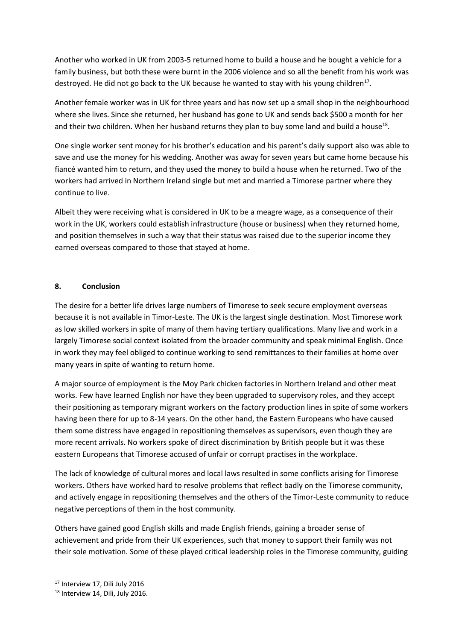Another who worked in UK from 2003-5 returned home to build a house and he bought a vehicle for a family business, but both these were burnt in the 2006 violence and so all the benefit from his work was destroyed. He did not go back to the UK because he wanted to stay with his young children<sup>17</sup>.

Another female worker was in UK for three years and has now set up a small shop in the neighbourhood where she lives. Since she returned, her husband has gone to UK and sends back \$500 a month for her and their two children. When her husband returns they plan to buy some land and build a house<sup>18</sup>.

One single worker sent money for his brother's education and his parent's daily support also was able to save and use the money for his wedding. Another was away for seven years but came home because his fiancé wanted him to return, and they used the money to build a house when he returned. Two of the workers had arrived in Northern Ireland single but met and married a Timorese partner where they continue to live.

Albeit they were receiving what is considered in UK to be a meagre wage, as a consequence of their work in the UK, workers could establish infrastructure (house or business) when they returned home, and position themselves in such a way that their status was raised due to the superior income they earned overseas compared to those that stayed at home.

### **8. Conclusion**

The desire for a better life drives large numbers of Timorese to seek secure employment overseas because it is not available in Timor-Leste. The UK is the largest single destination. Most Timorese work as low skilled workers in spite of many of them having tertiary qualifications. Many live and work in a largely Timorese social context isolated from the broader community and speak minimal English. Once in work they may feel obliged to continue working to send remittances to their families at home over many years in spite of wanting to return home.

A major source of employment is the Moy Park chicken factories in Northern Ireland and other meat works. Few have learned English nor have they been upgraded to supervisory roles, and they accept their positioning as temporary migrant workers on the factory production lines in spite of some workers having been there for up to 8-14 years. On the other hand, the Eastern Europeans who have caused them some distress have engaged in repositioning themselves as supervisors, even though they are more recent arrivals. No workers spoke of direct discrimination by British people but it was these eastern Europeans that Timorese accused of unfair or corrupt practises in the workplace.

The lack of knowledge of cultural mores and local laws resulted in some conflicts arising for Timorese workers. Others have worked hard to resolve problems that reflect badly on the Timorese community, and actively engage in repositioning themselves and the others of the Timor-Leste community to reduce negative perceptions of them in the host community.

Others have gained good English skills and made English friends, gaining a broader sense of achievement and pride from their UK experiences, such that money to support their family was not their sole motivation. Some of these played critical leadership roles in the Timorese community, guiding

<sup>17</sup> Interview 17, Dili July 2016

<sup>&</sup>lt;sup>18</sup> Interview 14, Dili, July 2016.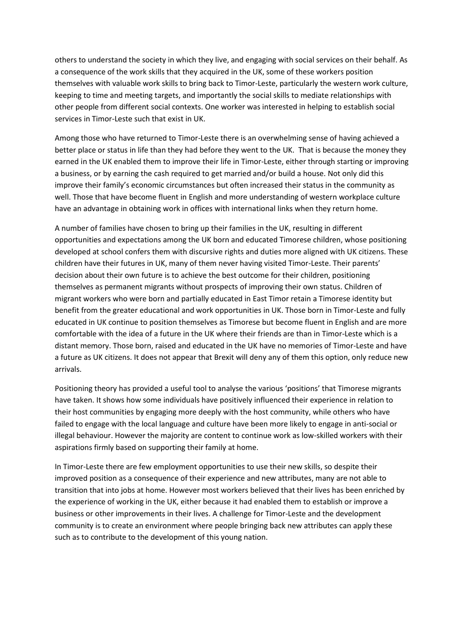others to understand the society in which they live, and engaging with social services on their behalf. As a consequence of the work skills that they acquired in the UK, some of these workers position themselves with valuable work skills to bring back to Timor-Leste, particularly the western work culture, keeping to time and meeting targets, and importantly the social skills to mediate relationships with other people from different social contexts. One worker was interested in helping to establish social services in Timor-Leste such that exist in UK.

Among those who have returned to Timor-Leste there is an overwhelming sense of having achieved a better place or status in life than they had before they went to the UK. That is because the money they earned in the UK enabled them to improve their life in Timor-Leste, either through starting or improving a business, or by earning the cash required to get married and/or build a house. Not only did this improve their family's economic circumstances but often increased their status in the community as well. Those that have become fluent in English and more understanding of western workplace culture have an advantage in obtaining work in offices with international links when they return home.

A number of families have chosen to bring up their families in the UK, resulting in different opportunities and expectations among the UK born and educated Timorese children, whose positioning developed at school confers them with discursive rights and duties more aligned with UK citizens. These children have their futures in UK, many of them never having visited Timor-Leste. Their parents' decision about their own future is to achieve the best outcome for their children, positioning themselves as permanent migrants without prospects of improving their own status. Children of migrant workers who were born and partially educated in East Timor retain a Timorese identity but benefit from the greater educational and work opportunities in UK. Those born in Timor-Leste and fully educated in UK continue to position themselves as Timorese but become fluent in English and are more comfortable with the idea of a future in the UK where their friends are than in Timor-Leste which is a distant memory. Those born, raised and educated in the UK have no memories of Timor-Leste and have a future as UK citizens. It does not appear that Brexit will deny any of them this option, only reduce new arrivals.

Positioning theory has provided a useful tool to analyse the various 'positions' that Timorese migrants have taken. It shows how some individuals have positively influenced their experience in relation to their host communities by engaging more deeply with the host community, while others who have failed to engage with the local language and culture have been more likely to engage in anti-social or illegal behaviour. However the majority are content to continue work as low-skilled workers with their aspirations firmly based on supporting their family at home.

In Timor-Leste there are few employment opportunities to use their new skills, so despite their improved position as a consequence of their experience and new attributes, many are not able to transition that into jobs at home. However most workers believed that their lives has been enriched by the experience of working in the UK, either because it had enabled them to establish or improve a business or other improvements in their lives. A challenge for Timor-Leste and the development community is to create an environment where people bringing back new attributes can apply these such as to contribute to the development of this young nation.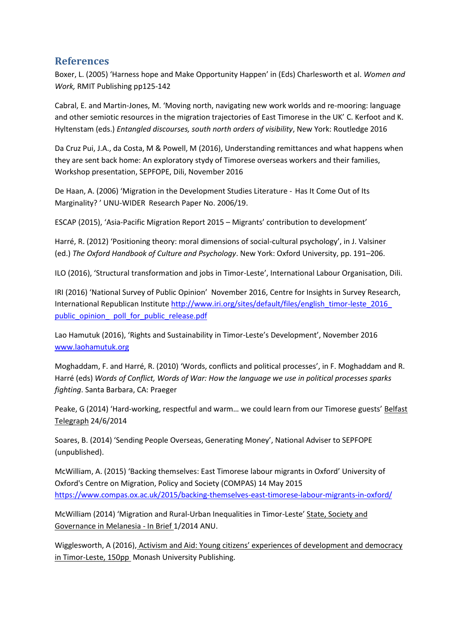# **References**

Boxer, L. (2005) 'Harness hope and Make Opportunity Happen' in (Eds) Charlesworth et al. *Women and Work,* RMIT Publishing pp125-142

Cabral, E. and Martin-Jones, M. 'Moving north, navigating new work worlds and re-mooring: language and other semiotic resources in the migration trajectories of East Timorese in the UK' C. Kerfoot and K. Hyltenstam (eds.) *Entangled discourses, south north orders of visibility*, New York: Routledge 2016

Da Cruz Pui, J.A., da Costa, M & Powell, M (2016), Understanding remittances and what happens when they are sent back home: An exploratory stydy of Timorese overseas workers and their families, Workshop presentation, SEPFOPE, Dili, November 2016

De Haan, A. (2006) 'Migration in the Development Studies Literature - Has It Come Out of Its Marginality? ' UNU-WIDER Research Paper No. 2006/19.

ESCAP (2015), 'Asia-Pacific Migration Report 2015 – Migrants' contribution to development'

Harré, R. (2012) 'Positioning theory: moral dimensions of social-cultural psychology', in J. Valsiner (ed.) *The Oxford Handbook of Culture and Psychology*. New York: Oxford University, pp. 191–206.

ILO (2016), 'Structural transformation and jobs in Timor-Leste', International Labour Organisation, Dili.

IRI (2016) 'National Survey of Public Opinion' November 2016, Centre for Insights in Survey Research, International Republican Institute http://www.iri.org/sites/default/files/english\_timor-leste\_2016 [public\\_opinion\\_ poll\\_for\\_public\\_release.pdf](http://www.iri.org/sites/default/files/english_timor-leste_2016_%20public_opinion_%20%20poll_for_public_release.pdf)

Lao Hamutuk (2016), 'Rights and Sustainability in Timor-Leste's Development', November 2016 [www.laohamutuk.org](http://www.laohamutuk.org/)

Moghaddam, F. and Harré, R. (2010) 'Words, conflicts and political processes', in F. Moghaddam and R. Harré (eds) *Words of Conflict, Words of War: How the language we use in political processes sparks fighting*. Santa Barbara, CA: Praeger

Peake, G (2014) 'Hard-working, respectful and warm... we could learn from our Timorese guests' Belfast Telegraph 24/6/2014

Soares, B. (2014) 'Sending People Overseas, Generating Money', National Adviser to SEPFOPE (unpublished).

McWilliam, A. (2015) 'Backing themselves: East Timorese labour migrants in Oxford' University of Oxford's Centre on Migration, Policy and Society (COMPAS) 14 May 2015 <https://www.compas.ox.ac.uk/2015/backing-themselves-east-timorese-labour-migrants-in-oxford/>

McWilliam (2014) 'Migration and Rural-Urban Inequalities in Timor-Leste' State, Society and Governance in Melanesia - In Brief 1/2014 ANU.

Wigglesworth, A (2016), Activism and Aid: Young citizens' experiences of development and democracy in Timor-Leste, 150pp Monash University Publishing.